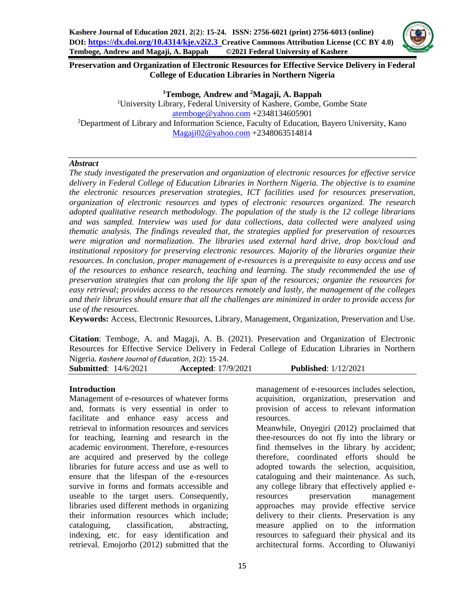

## **Preservation and Organization of Electronic Resources for Effective Service Delivery in Federal College of Education Libraries in Northern Nigeria**

**<sup>1</sup>Temboge***,* **Andrew and <sup>2</sup>Magaji, A. Bappah** <sup>1</sup>University Library, Federal University of Kashere, Gombe, Gombe State [atemboge@yahoo.com](mailto:atemboge@yahoo.com) +2348134605901 <sup>2</sup>Department of Library and Information Science, Faculty of Education, Bayero University, Kano [Magaji02@yahoo.com](mailto:Magaji02@yahoo.com) +2348063514814

#### *Abstract*

*The study investigated the preservation and organization of electronic resources for effective service delivery in Federal College of Education Libraries in Northern Nigeria. The objective is to examine the electronic resources preservation strategies, ICT facilities used for resources preservation, organization of electronic resources and types of electronic resources organized. The research adopted qualitative research methodology. The population of the study is the 12 college librarians and was sampled. Interview was used for data collections, data collected were analyzed using thematic analysis. The findings revealed that, the strategies applied for preservation of resources were migration and normalization. The libraries used external hard drive, drop box/cloud and institutional repository for preserving electronic resources. Majority of the libraries organize their resources. In conclusion, proper management of e-resources is a prerequisite to easy access and use of the resources to enhance research, teaching and learning. The study recommended the use of preservation strategies that can prolong the life span of the resources; organize the resources for easy retrieval; provides access to the resources remotely and lastly, the management of the colleges and their libraries should ensure that all the challenges are minimized in order to provide access for use of the resources.*

**Keywords:** Access, Electronic Resources, Library, Management, Organization, Preservation and Use.

**Citation**: Temboge*,* A. and Magaji, A. B. (2021). Preservation and Organization of Electronic Resources for Effective Service Delivery in Federal College of Education Libraries in Northern Nigeria*. Kashere Journal of Education*, 2(2): 15-24.

**Submitted**: 14/6/2021 **Accepted**: 17/9/2021 **Published**: 1/12/2021

# **Introduction**

Management of e-resources of whatever forms and, formats is very essential in order to facilitate and enhance easy access and retrieval to information resources and services for teaching, learning and research in the academic environment. Therefore, e-resources are acquired and preserved by the college libraries for future access and use as well to ensure that the lifespan of the e-resources survive in forms and formats accessible and useable to the target users. Consequently, libraries used different methods in organizing their information resources which include; cataloguing, classification, abstracting, indexing, etc. for easy identification and retrieval. Emojorho (2012) submitted that the

management of e-resources includes selection, acquisition, organization, preservation and provision of access to relevant information resources.

Meanwhile, Onyegiri (2012) proclaimed that thee-resources do not fly into the library or find themselves in the library by accident; therefore, coordinated efforts should be adopted towards the selection, acquisition, cataloguing and their maintenance. As such, any college library that effectively applied eresources preservation management approaches may provide effective service delivery to their clients. Preservation is any measure applied on to the information resources to safeguard their physical and its architectural forms. According to Oluwaniyi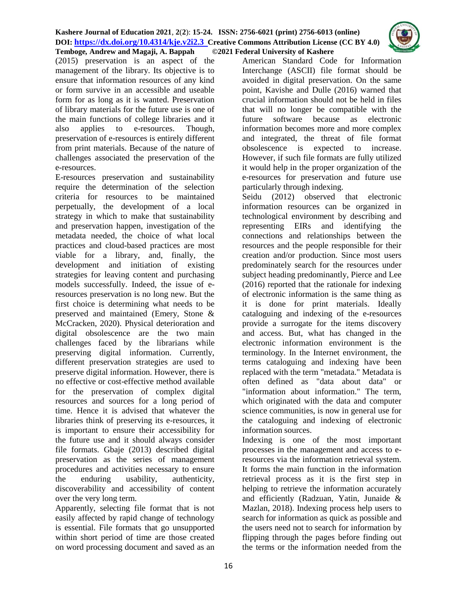

(2015) preservation is an aspect of the management of the library. Its objective is to ensure that information resources of any kind or form survive in an accessible and useable form for as long as it is wanted. Preservation of library materials for the future use is one of the main functions of college libraries and it also applies to e-resources. Though, preservation of e-resources is entirely different from print materials. Because of the nature of challenges associated the preservation of the e-resources.

E-resources preservation and sustainability require the determination of the selection criteria for resources to be maintained perpetually, the development of a local strategy in which to make that sustainability and preservation happen, investigation of the metadata needed, the choice of what local practices and cloud-based practices are most viable for a library, and, finally, the development and initiation of existing strategies for leaving content and purchasing models successfully. Indeed, the issue of eresources preservation is no long new. But the first choice is determining what needs to be preserved and maintained (Emery, Stone & McCracken, 2020). Physical deterioration and digital obsolescence are the two main challenges faced by the librarians while preserving digital information. Currently, different preservation strategies are used to preserve digital information. However, there is no effective or cost-effective method available for the preservation of complex digital resources and sources for a long period of time. Hence it is advised that whatever the libraries think of preserving its e-resources, it is important to ensure their accessibility for the future use and it should always consider file formats. Gbaje (2013) described digital preservation as the series of management procedures and activities necessary to ensure the enduring usability, authenticity, discoverability and accessibility of content over the very long term.

Apparently, selecting file format that is not easily affected by rapid change of technology is essential. File formats that go unsupported within short period of time are those created on word processing document and saved as an

American Standard Code for Information Interchange (ASCII) file format should be avoided in digital preservation. On the same point, Kavishe and Dulle (2016) warned that crucial information should not be held in files that will no longer be compatible with the future software because as electronic information becomes more and more complex and integrated, the threat of file format obsolescence is expected to increase. However, if such file formats are fully utilized it would help in the proper organization of the e-resources for preservation and future use particularly through indexing.

Seidu (2012) observed that electronic information resources can be organized in technological environment by describing and representing EIRs and identifying the connections and relationships between the resources and the people responsible for their creation and/or production. Since most users predominately search for the resources under subject heading predominantly, Pierce and Lee (2016) reported that the rationale for indexing of electronic information is the same thing as it is done for print materials. Ideally cataloguing and indexing of the e-resources provide a surrogate for the items discovery and access. But, what has changed in the electronic information environment is the terminology. In the Internet environment, the terms cataloguing and indexing have been replaced with the term "metadata." Metadata is often defined as "data about data" or "information about information." The term, which originated with the data and computer science communities, is now in general use for the cataloguing and indexing of electronic information sources.

Indexing is one of the most important processes in the management and access to eresources via the information retrieval system. It forms the main function in the information retrieval process as it is the first step in helping to retrieve the information accurately and efficiently (Radzuan, Yatin, Junaide & Mazlan, 2018). Indexing process help users to search for information as quick as possible and the users need not to search for information by flipping through the pages before finding out the terms or the information needed from the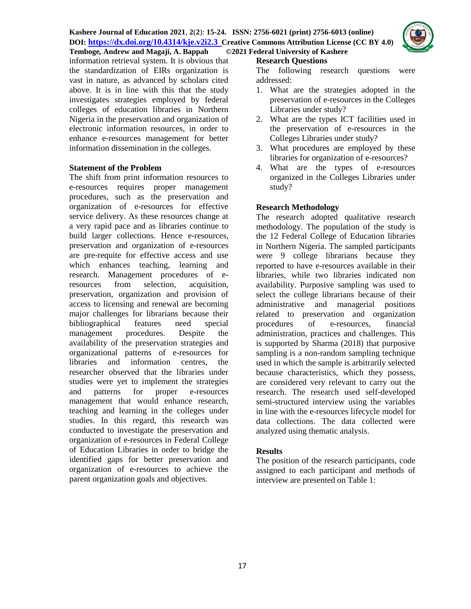

information retrieval system. It is obvious that the standardization of EIRs organization is vast in nature, as advanced by scholars cited above. It is in line with this that the study investigates strategies employed by federal colleges of education libraries in Northern Nigeria in the preservation and organization of electronic information resources, in order to enhance e-resources management for better information dissemination in the colleges.

## **Statement of the Problem**

The shift from print information resources to e-resources requires proper management procedures, such as the preservation and organization of e-resources for effective service delivery. As these resources change at a very rapid pace and as libraries continue to build larger collections. Hence e-resources, preservation and organization of e-resources are pre-requite for effective access and use which enhances teaching, learning and research. Management procedures of eresources from selection, acquisition, preservation, organization and provision of access to licensing and renewal are becoming major challenges for librarians because their bibliographical features need special management procedures. Despite the availability of the preservation strategies and organizational patterns of e-resources for libraries and information centres, the researcher observed that the libraries under studies were yet to implement the strategies and patterns for proper e-resources management that would enhance research, teaching and learning in the colleges under studies. In this regard, this research was conducted to investigate the preservation and organization of e-resources in Federal College of Education Libraries in order to bridge the identified gaps for better preservation and organization of e-resources to achieve the parent organization goals and objectives.

# **Research Questions**

The following research questions were addressed:

- 1. What are the strategies adopted in the preservation of e-resources in the Colleges Libraries under study?
- 2. What are the types ICT facilities used in the preservation of e-resources in the Colleges Libraries under study?
- 3. What procedures are employed by these libraries for organization of e-resources?
- 4. What are the types of e-resources organized in the Colleges Libraries under study?

# **Research Methodology**

The research adopted qualitative research methodology. The population of the study is the 12 Federal College of Education libraries in Northern Nigeria. The sampled participants were 9 college librarians because they reported to have e-resources available in their libraries, while two libraries indicated non availability. Purposive sampling was used to select the college librarians because of their administrative and managerial positions related to preservation and organization procedures of e-resources, financial administration, practices and challenges. This is supported by Sharma (2018) that purposive sampling is a non-random sampling technique used in which the sample is arbitrarily selected because characteristics, which they possess, are considered very relevant to carry out the research. The research used self-developed semi-structured interview using the variables in line with the e-resources lifecycle model for data collections. The data collected were analyzed using thematic analysis.

# **Results**

The position of the research participants, code assigned to each participant and methods of interview are presented on Table 1: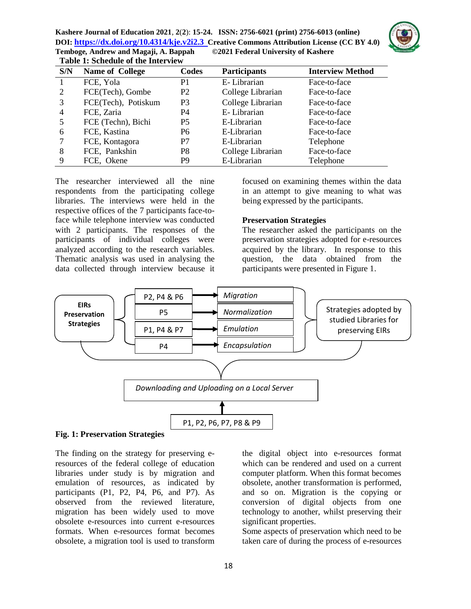**Kashere Journal of Education 2021**, **2**(**2**): **15-24. ISSN: 2756-6021 (print) 2756-6013 (online) DOI: <https://dx.doi.org/10.4314/kje.v2i2.3> [Creative Commons Attribution](http://creativecommons.org/licenses/by/4.0/) License (CC BY 4.0) Temboge***,* **Andrew and Magaji, A. Bappah****©2021 Federal University of Kashere Table 1: Schedule of the Interview**



| S/N            | <b>Name of College</b> | Codes          | <b>Participants</b> | <b>Interview Method</b> |
|----------------|------------------------|----------------|---------------------|-------------------------|
|                | FCE, Yola              | P1             | E-Librarian         | Face-to-face            |
| 2              | FCE(Tech), Gombe       | P <sub>2</sub> | College Librarian   | Face-to-face            |
| 3              | FCE(Tech), Potiskum    | P <sub>3</sub> | College Librarian   | Face-to-face            |
| $\overline{4}$ | FCE, Zaria             | P4             | E-Librarian         | Face-to-face            |
| 5              | FCE (Techn), Bichi     | <b>P5</b>      | E-Librarian         | Face-to-face            |
| 6              | FCE, Kastina           | P <sub>6</sub> | E-Librarian         | Face-to-face            |
|                | FCE, Kontagora         | P7             | E-Librarian         | Telephone               |
| 8              | FCE, Pankshin          | P <sub>8</sub> | College Librarian   | Face-to-face            |
| 9              | FCE, Okene             | P <sub>9</sub> | E-Librarian         | Telephone               |

The researcher interviewed all the nine respondents from the participating college libraries. The interviews were held in the respective offices of the 7 participants face-toface while telephone interview was conducted with 2 participants. The responses of the participants of individual colleges were analyzed according to the research variables. Thematic analysis was used in analysing the data collected through interview because it focused on examining themes within the data in an attempt to give meaning to what was being expressed by the participants.

#### **Preservation Strategies**

The researcher asked the participants on the preservation strategies adopted for e-resources acquired by the library. In response to this question, the data obtained from the participants were presented in Figure 1.



#### **Fig. 1: Preservation Strategies**

The finding on the strategy for preserving eresources of the federal college of education libraries under study is by migration and emulation of resources, as indicated by participants (P1, P2, P4, P6, and P7). As observed from the reviewed literature, migration has been widely used to move obsolete e-resources into current e-resources formats. When e-resources format becomes obsolete, a migration tool is used to transform the digital object into e-resources format which can be rendered and used on a current computer platform. When this format becomes obsolete, another transformation is performed, and so on. Migration is the copying or conversion of digital objects from one technology to another, whilst preserving their significant properties.

Some aspects of preservation which need to be taken care of during the process of e-resources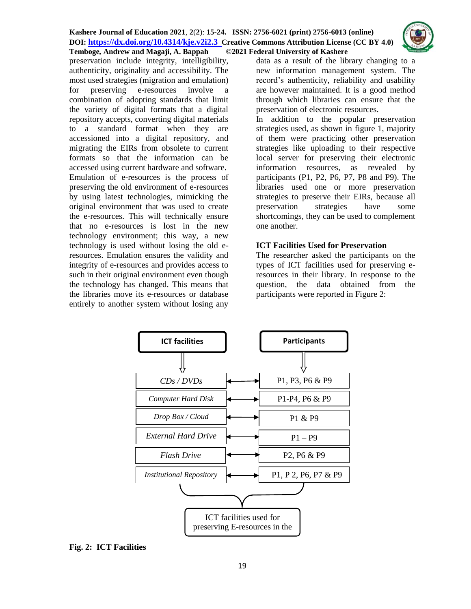#### **Kashere Journal of Education 2021**, **2**(**2**): **15-24. ISSN: 2756-6021 (print) 2756-6013 (online) DOI: <https://dx.doi.org/10.4314/kje.v2i2.3> [Creative Commons Attribution](http://creativecommons.org/licenses/by/4.0/) License (CC BY 4.0) Temboge***,* **Andrew and Magaji, A. Bappah****©2021 Federal University of Kashere**



preservation include integrity, intelligibility, authenticity, originality and accessibility. The most used strategies (migration and emulation) for preserving e-resources involve a combination of adopting standards that limit the variety of digital formats that a digital repository accepts, converting digital materials to a standard format when they are accessioned into a digital repository, and migrating the EIRs from obsolete to current formats so that the information can be accessed using current hardware and software. Emulation of e-resources is the process of preserving the old environment of e-resources by using latest technologies, mimicking the original environment that was used to create the e-resources. This will technically ensure that no e-resources is lost in the new technology environment; this way, a new technology is used without losing the old eresources. Emulation ensures the validity and integrity of e-resources and provides access to such in their original environment even though the technology has changed. This means that the libraries move its e-resources or database entirely to another system without losing any

data as a result of the library changing to a new information management system. The record's authenticity, reliability and usability are however maintained. It is a good method through which libraries can ensure that the preservation of electronic resources.

In addition to the popular preservation strategies used, as shown in figure 1, majority of them were practicing other preservation strategies like uploading to their respective local server for preserving their electronic information resources, as revealed by participants (P1, P2, P6, P7, P8 and P9). The libraries used one or more preservation strategies to preserve their EIRs, because all preservation strategies have some shortcomings, they can be used to complement one another.

## **ICT Facilities Used for Preservation**

The researcher asked the participants on the types of ICT facilities used for preserving eresources in their library. In response to the question, the data obtained from the participants were reported in Figure 2:



## **Fig. 2: ICT Facilities**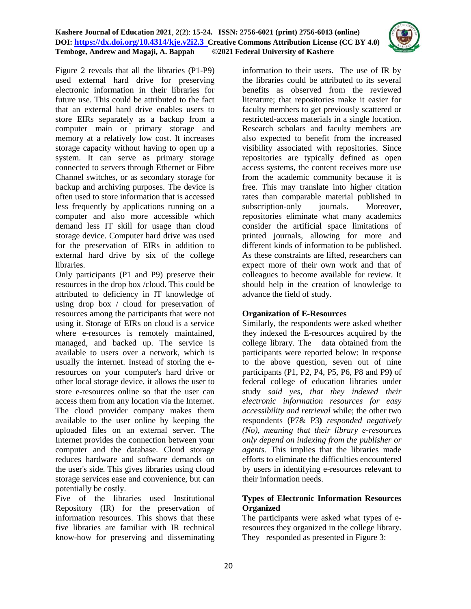## **Kashere Journal of Education 2021**, **2**(**2**): **15-24. ISSN: 2756-6021 (print) 2756-6013 (online) DOI: <https://dx.doi.org/10.4314/kje.v2i2.3> [Creative Commons Attribution](http://creativecommons.org/licenses/by/4.0/) License (CC BY 4.0) Temboge***,* **Andrew and Magaji, A. Bappah****©2021 Federal University of Kashere**



Figure 2 reveals that all the libraries (P1-P9) used external hard drive for preserving electronic information in their libraries for future use. This could be attributed to the fact that an external hard drive enables users to store EIRs separately as a backup from a computer main or primary storage and memory at a relatively low cost. It increases storage capacity without having to open up a system. It can serve as primary storage connected to servers through Ethernet or Fibre Channel switches, or as secondary storage for backup and archiving purposes. The device is often used to store information that is accessed less frequently by applications running on a computer and also more accessible which demand less IT skill for usage than cloud storage device. Computer hard drive was used for the preservation of EIRs in addition to external hard drive by six of the college libraries.

Only participants (P1 and P9) preserve their resources in the drop box /cloud. This could be attributed to deficiency in IT knowledge of using drop box / cloud for preservation of resources among the participants that were not using it. Storage of EIRs on cloud is a service where e-resources is remotely maintained, managed, and backed up. The service is available to users over a network, which is usually the internet. Instead of storing the eresources on your computer's hard drive or other local storage device, it allows the user to store e-resources online so that the user can access them from any location via the Internet. The cloud provider company makes them available to the user online by keeping the uploaded files on an external server. The Internet provides the connection between your computer and the database. Cloud storage reduces hardware and software demands on the user's side. This gives libraries using cloud storage services ease and convenience, but can potentially be costly.

Five of the libraries used Institutional Repository (IR) for the preservation of information resources. This shows that these five libraries are familiar with IR technical know-how for preserving and disseminating information to their users. The use of IR by the libraries could be attributed to its several benefits as observed from the reviewed literature; that repositories make it easier for faculty members to get previously scattered or restricted-access materials in a single location. Research scholars and faculty members are also expected to benefit from the increased visibility associated with repositories. Since repositories are typically defined as open access systems, the content receives more use from the academic community because it is free. This may translate into higher citation rates than comparable material published in subscription-only journals. Moreover, repositories eliminate what many academics consider the artificial space limitations of printed journals, allowing for more and different kinds of information to be published. As these constraints are lifted, researchers can expect more of their own work and that of colleagues to become available for review. It should help in the creation of knowledge to advance the field of study.

## **Organization of E-Resources**

Similarly, the respondents were asked whether they indexed the E-resources acquired by the college library. The data obtained from the participants were reported below: In response to the above question, seven out of nine participants (P1, P2, P4, P5, P6, P8 and P9**)** of federal college of education libraries under study *said yes, that they indexed their electronic information resources for easy accessibility and retrieval* while; the other two respondents (P7& P3**)** *responded negatively (No), meaning that their library e-resources only depend on indexing from the publisher or agents.* This implies that the libraries made efforts to eliminate the difficulties encountered by users in identifying e-resources relevant to their information needs.

## **Types of Electronic Information Resources Organized**

The participants were asked what types of eresources they organized in the college library. They responded as presented in Figure 3: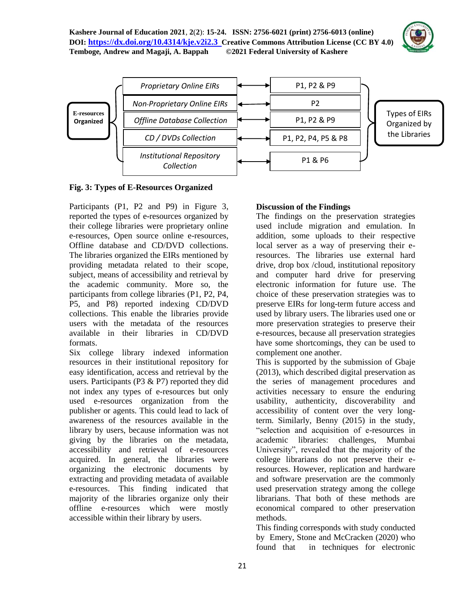



**Fig. 3: Types of E-Resources Organized**

Participants (P1, P2 and P9) in Figure 3, reported the types of e-resources organized by their college libraries were proprietary online e-resources, Open source online e-resources, Offline database and CD/DVD collections. The libraries organized the EIRs mentioned by providing metadata related to their scope, subject, means of accessibility and retrieval by the academic community. More so, the participants from college libraries (P1, P2, P4, P5, and P8) reported indexing CD/DVD collections. This enable the libraries provide users with the metadata of the resources available in their libraries in CD/DVD formats.

Six college library indexed information resources in their institutional repository for easy identification, access and retrieval by the users. Participants (P3 & P7) reported they did not index any types of e-resources but only used e-resources organization from the publisher or agents. This could lead to lack of awareness of the resources available in the library by users, because information was not giving by the libraries on the metadata, accessibility and retrieval of e-resources acquired. In general, the libraries were organizing the electronic documents by extracting and providing metadata of available e-resources. This finding indicated that majority of the libraries organize only their offline e-resources which were mostly accessible within their library by users.

## **Discussion of the Findings**

The findings on the preservation strategies used include migration and emulation. In addition, some uploads to their respective local server as a way of preserving their eresources. The libraries use external hard drive, drop box /cloud, institutional repository and computer hard drive for preserving electronic information for future use. The choice of these preservation strategies was to preserve EIRs for long-term future access and used by library users. The libraries used one or more preservation strategies to preserve their e-resources, because all preservation strategies have some shortcomings, they can be used to complement one another.

This is supported by the submission of Gbaje (2013), which described digital preservation as the series of management procedures and activities necessary to ensure the enduring usability, authenticity, discoverability and accessibility of content over the very longterm. Similarly, Benny (2015) in the study, "selection and acquisition of e-resources in academic libraries: challenges, Mumbai University", revealed that the majority of the college librarians do not preserve their eresources. However, replication and hardware and software preservation are the commonly used preservation strategy among the college librarians. That both of these methods are economical compared to other preservation methods.

This finding corresponds with study conducted by Emery, Stone and McCracken (2020) who found that in techniques for electronic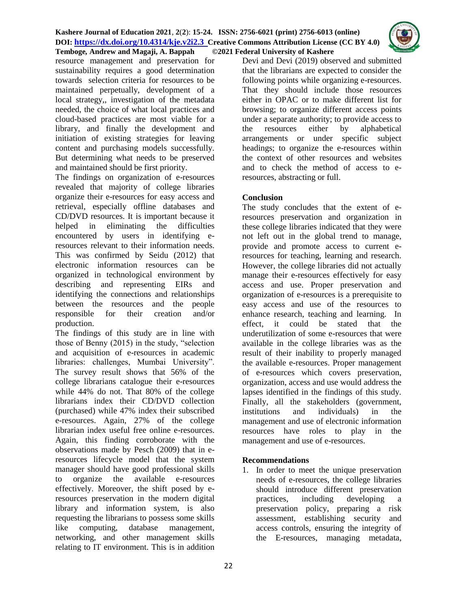

resource management and preservation for sustainability requires a good determination towards selection criteria for resources to be maintained perpetually, development of a local strategy,, investigation of the metadata needed, the choice of what local practices and cloud-based practices are most viable for a library, and finally the development and initiation of existing strategies for leaving content and purchasing models successfully. But determining what needs to be preserved and maintained should be first priority.

The findings on organization of e-resources revealed that majority of college libraries organize their e-resources for easy access and retrieval, especially offline databases and CD/DVD resources. It is important because it helped in eliminating the difficulties encountered by users in identifying eresources relevant to their information needs. This was confirmed by Seidu (2012) that electronic information resources can be organized in technological environment by describing and representing EIRs and identifying the connections and relationships between the resources and the people responsible for their creation and/or production.

The findings of this study are in line with those of Benny (2015) in the study, "selection and acquisition of e-resources in academic libraries: challenges, Mumbai University". The survey result shows that 56% of the college librarians catalogue their e-resources while 44% do not. That 80% of the college librarians index their CD/DVD collection (purchased) while 47% index their subscribed e-resources. Again, 27% of the college librarian index useful free online e-resources. Again, this finding corroborate with the observations made by Pesch (2009) that in eresources lifecycle model that the system manager should have good professional skills to organize the available e-resources effectively. Moreover, the shift posed by eresources preservation in the modern digital library and information system, is also requesting the librarians to possess some skills like computing, database management, networking, and other management skills relating to IT environment. This is in addition

Devi and Devi (2019) observed and submitted that the librarians are expected to consider the following points while organizing e-resources. That they should include those resources either in OPAC or to make different list for browsing; to organize different access points under a separate authority; to provide access to the resources either by alphabetical arrangements or under specific subject headings; to organize the e-resources within the context of other resources and websites and to check the method of access to eresources, abstracting or full.

# **Conclusion**

The study concludes that the extent of eresources preservation and organization in these college libraries indicated that they were not left out in the global trend to manage, provide and promote access to current eresources for teaching, learning and research. However, the college libraries did not actually manage their e-resources effectively for easy access and use. Proper preservation and organization of e-resources is a prerequisite to easy access and use of the resources to enhance research, teaching and learning. In effect, it could be stated that the underutilization of some e-resources that were available in the college libraries was as the result of their inability to properly managed the available e-resources. Proper management of e-resources which covers preservation, organization, access and use would address the lapses identified in the findings of this study. Finally, all the stakeholders (government, institutions and individuals) in the management and use of electronic information resources have roles to play in the management and use of e-resources.

# **Recommendations**

1. In order to meet the unique preservation needs of e-resources, the college libraries should introduce different preservation practices, including developing a preservation policy, preparing a risk assessment, establishing security and access controls, ensuring the integrity of the E-resources, managing metadata,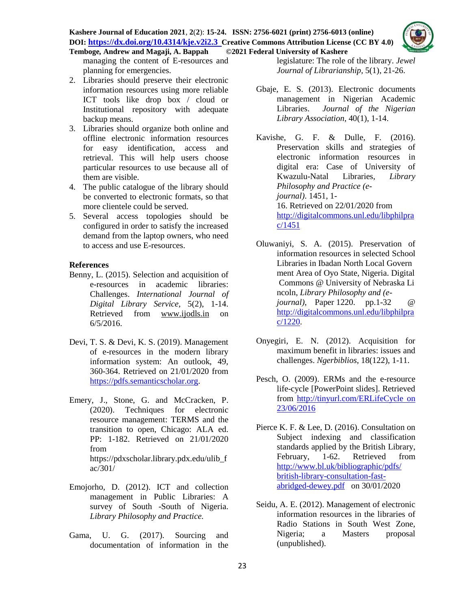# **Kashere Journal of Education 2021**, **2**(**2**): **15-24. ISSN: 2756-6021 (print) 2756-6013 (online) DOI: <https://dx.doi.org/10.4314/kje.v2i2.3> [Creative Commons Attribution](http://creativecommons.org/licenses/by/4.0/) License (CC BY 4.0)**



- 2. Libraries should preserve their electronic information resources using more reliable ICT tools like drop box / cloud or Institutional repository with adequate backup means.
- 3. Libraries should organize both online and offline electronic information resources for easy identification, access and retrieval. This will help users choose particular resources to use because all of them are visible.
- 4. The public catalogue of the library should be converted to electronic formats, so that more clientele could be served.
- 5. Several access topologies should be configured in order to satisfy the increased demand from the laptop owners, who need to access and use E-resources.

## **References**

- Benny, L. (2015). Selection and acquisition of e-resources in academic libraries: Challenges. *International Journal of Digital Library Service,* 5(2), 1-14. Retrieved from [www.ijodls.in](http://www.ijodls.in/) on 6/5/2016.
- Devi, T. S. & Devi, K. S. (2019). Management of e-resources in the modern library information system: An outlook, 49, 360-364. Retrieved on 21/01/2020 from [https://pdfs.semanticscholar.org.](https://pdfs.semanticscholar.org/)
- Emery, J., Stone, G. and McCracken, P. (2020). Techniques for electronic resource management: TERMS and the transition to open, Chicago: ALA ed. PP: 1-182. Retrieved on 21/01/2020 from https://pdxscholar.library.pdx.edu/ulib\_f ac/301/
- Emojorho, D. (2012). ICT and collection management in Public Libraries: A survey of South -South of Nigeria. *Library Philosophy and Practice.*
- Gama, U. G. (2017). Sourcing and documentation of information in the

legislature: The role of the library. *Jewel Journal of Librarianship,* 5(1), 21-26.

Gbaje, E. S. (2013). Electronic documents management in Nigerian Academic Libraries. *Journal of the Nigerian Library Association*, 40(1), 1-14.

Kavishe, G. F. & Dulle, F. (2016). Preservation skills and strategies of electronic information resources in digital era: Case of University of Kwazulu-Natal Libraries, *Library Philosophy and Practice (ejournal)*. 1451, 1- 16. Retrieved on 22/01/2020 from [http://digitalcommons.unl.edu/libphilpra](http://digitalcommons.unl.edu/libphilprac/1451) [c/1451](http://digitalcommons.unl.edu/libphilprac/1451)

- Oluwaniyi, S. A. (2015). Preservation of information resources in selected School Libraries in Ibadan North Local Govern ment Area of Oyo State, Nigeria. Digital Commons @ University of Nebraska Li ncoln, *Library Philosophy and (ejournal)*, Paper 1220. pp.1-32 @ [http://digitalcommons.unl.edu/libphilpra](http://digitalcommons.unl.edu/libphilprac/1220) [c/1220.](http://digitalcommons.unl.edu/libphilprac/1220)
- Onyegiri, E. N. (2012). Acquisition for maximum benefit in libraries: issues and challenges. *Ngerbiblios*, 18(122), 1-11.
- Pesch, O. (2009). ERMs and the e-resource life-cycle [PowerPoint slides]. Retrieved from [http://tinyurl.com/ERLifeCycle on](http://tinyurl.com/ERLifeCycle%20on%2023/06/2016)  [23/06/2016](http://tinyurl.com/ERLifeCycle%20on%2023/06/2016)
- Pierce K. F. & Lee, D. (2016). Consultation on Subject indexing and classification standards applied by the British Library, February, 1-62. Retrieved from [http://www.bl.uk/bibliographic/pdfs/](http://www.bl.uk/bibliographic/pdfs/%20british-library-consultation-fast-abridged-dewey.pdf)  [british-library-consultation-fast](http://www.bl.uk/bibliographic/pdfs/%20british-library-consultation-fast-abridged-dewey.pdf)[abridged-dewey.pdf](http://www.bl.uk/bibliographic/pdfs/%20british-library-consultation-fast-abridged-dewey.pdf) on 30/01/2020
- Seidu, A. E. (2012). Management of electronic information resources in the libraries of Radio Stations in South West Zone, Nigeria; a Masters proposal (unpublished).